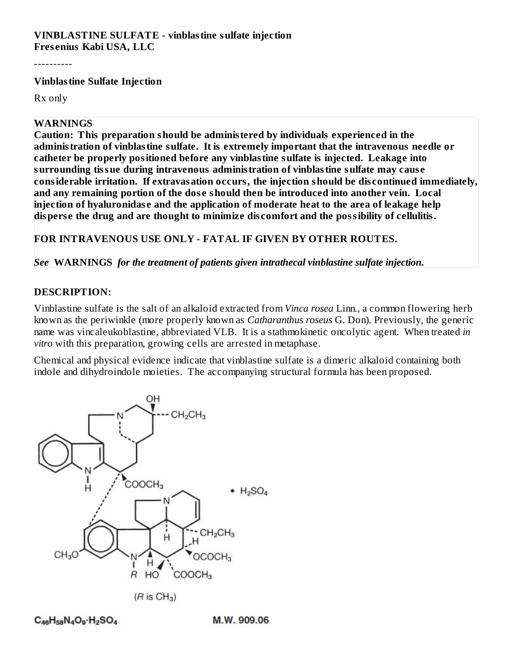#### **VINBLASTINE SULFATE - vinblastine sulfate injection Fres enius Kabi USA, LLC**

----------

#### **Vinblastine Sulfate Injection**

Rx only

#### **WARNINGS**

**Caution: This preparation should be administered by individuals experienced in the administration of vinblastine sulfate. It is extremely important that the intravenous needle or catheter be properly positioned before any vinblastine sulfate is injected. Leakage into surrounding tissue during intravenous administration of vinblastine sulfate may caus e considerable irritation. If extravasation occurs, the injection should be dis continued immediately, and any remaining portion of the dos e should then be introduced into another vein. Local injection of hyaluronidas e and the application of moderate heat to the area of leakage help dispers e the drug and are thought to minimize dis comfort and the possibility of cellulitis.**

**FOR INTRAVENOUS USE ONLY - FATAL IF GIVEN BY OTHER ROUTES.**

*See* **WARNINGS** *for the treatment of patients given intrathecal vinblastine sulfate injection.*

#### **DESCRIPTION:**

Vinblastine sulfate is the salt of an alkaloid extracted from *Vinca rosea* Linn., a common flowering herb known as the periwinkle (more properly known as *Catharanthus roseus* G. Don). Previously, the generic name was vincaleukoblastine, abbreviated VLB. It is a stathmokinetic oncolytic agent. When treated *in vitro* with this preparation, growing cells are arrested in metaphase.

Chemical and physical evidence indicate that vinblastine sulfate is a dimeric alkaloid containing both indole and dihydroindole moieties. The accompanying structural formula has been proposed.

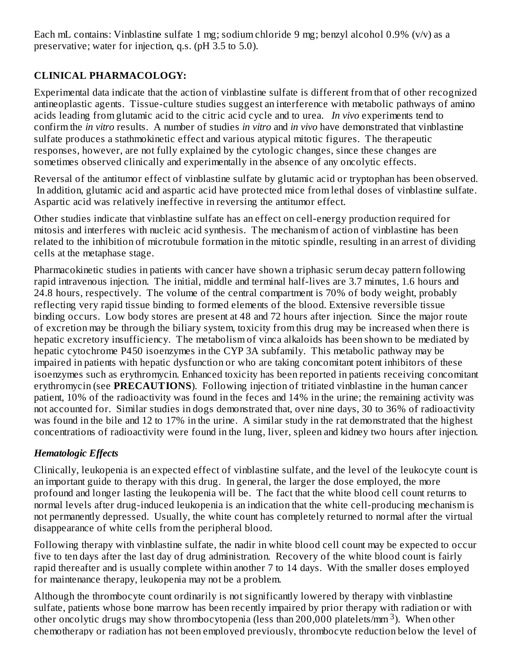Each mL contains: Vinblastine sulfate 1 mg; sodium chloride 9 mg; benzyl alcohol 0.9% (v/v) as a preservative; water for injection, q.s. (pH 3.5 to 5.0).

# **CLINICAL PHARMACOLOGY:**

Experimental data indicate that the action of vinblastine sulfate is different from that of other recognized antineoplastic agents. Tissue-culture studies suggest an interference with metabolic pathways of amino acids leading from glutamic acid to the citric acid cycle and to urea. *In vivo* experiments tend to confirm the *in vitro* results. A number of studies *in vitro* and *in vivo* have demonstrated that vinblastine sulfate produces a stathmokinetic effect and various atypical mitotic figures. The therapeutic responses, however, are not fully explained by the cytologic changes, since these changes are sometimes observed clinically and experimentally in the absence of any oncolytic effects.

Reversal of the antitumor effect of vinblastine sulfate by glutamic acid or tryptophan has been observed. In addition, glutamic acid and aspartic acid have protected mice from lethal doses of vinblastine sulfate. Aspartic acid was relatively ineffective in reversing the antitumor effect.

Other studies indicate that vinblastine sulfate has an effect on cell-energy production required for mitosis and interferes with nucleic acid synthesis. The mechanism of action of vinblastine has been related to the inhibition of microtubule formation in the mitotic spindle, resulting in an arrest of dividing cells at the metaphase stage.

Pharmacokinetic studies in patients with cancer have shown a triphasic serum decay pattern following rapid intravenous injection. The initial, middle and terminal half-lives are 3.7 minutes, 1.6 hours and 24.8 hours, respectively. The volume of the central compartment is 70% of body weight, probably reflecting very rapid tissue binding to formed elements of the blood. Extensive reversible tissue binding occurs. Low body stores are present at 48 and 72 hours after injection. Since the major route of excretion may be through the biliary system, toxicity from this drug may be increased when there is hepatic excretory insufficiency. The metabolism of vinca alkaloids has been shown to be mediated by hepatic cytochrome P450 isoenzymes in the CYP 3A subfamily. This metabolic pathway may be impaired in patients with hepatic dysfunction or who are taking concomitant potent inhibitors of these isoenzymes such as erythromycin. Enhanced toxicity has been reported in patients receiving concomitant erythromycin (see **PRECAUTIONS**). Following injection of tritiated vinblastine in the human cancer patient, 10% of the radioactivity was found in the feces and 14% in the urine; the remaining activity was not accounted for. Similar studies in dogs demonstrated that, over nine days, 30 to 36% of radioactivity was found in the bile and 12 to 17% in the urine. A similar study in the rat demonstrated that the highest concentrations of radioactivity were found in the lung, liver, spleen and kidney two hours after injection.

# *Hematologic Effects*

Clinically, leukopenia is an expected effect of vinblastine sulfate, and the level of the leukocyte count is an important guide to therapy with this drug. In general, the larger the dose employed, the more profound and longer lasting the leukopenia will be. The fact that the white blood cell count returns to normal levels after drug-induced leukopenia is an indication that the white cell-producing mechanism is not permanently depressed. Usually, the white count has completely returned to normal after the virtual disappearance of white cells from the peripheral blood.

Following therapy with vinblastine sulfate, the nadir in white blood cell count may be expected to occur five to ten days after the last day of drug administration. Recovery of the white blood count is fairly rapid thereafter and is usually complete within another 7 to 14 days. With the smaller doses employed for maintenance therapy, leukopenia may not be a problem.

Although the thrombocyte count ordinarily is not significantly lowered by therapy with vinblastine sulfate, patients whose bone marrow has been recently impaired by prior therapy with radiation or with other oncolytic drugs may show thrombocytopenia (less than 200,000 platelets/mm<sup>3</sup>). When other chemotherapy or radiation has not been employed previously, thrombocyte reduction below the level of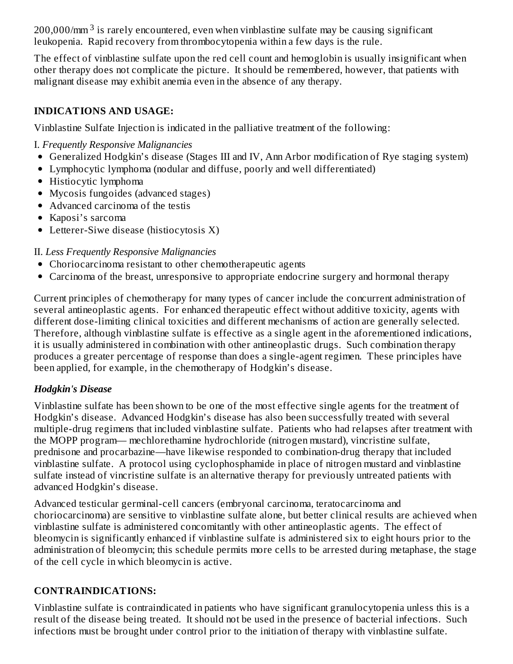200,000/mm  $^3$  is rarely encountered, even when vinblastine sulfate may be causing significant leukopenia. Rapid recovery from thrombocytopenia within a few days is the rule.

The effect of vinblastine sulfate upon the red cell count and hemoglobin is usually insignificant when other therapy does not complicate the picture. It should be remembered, however, that patients with malignant disease may exhibit anemia even in the absence of any therapy.

# **INDICATIONS AND USAGE:**

Vinblastine Sulfate Injection is indicated in the palliative treatment of the following:

I. *Frequently Responsive Malignancies*

- Generalized Hodgkin's disease (Stages III and IV, Ann Arbor modification of Rye staging system)
- Lymphocytic lymphoma (nodular and diffuse, poorly and well differentiated)
- Histiocytic lymphoma
- Mycosis fungoides (advanced stages)
- Advanced carcinoma of the testis
- Kaposi's sarcoma
- Letterer-Siwe disease (histiocytosis X)

II. *Less Frequently Responsive Malignancies*

- Choriocarcinoma resistant to other chemotherapeutic agents
- Carcinoma of the breast, unresponsive to appropriate endocrine surgery and hormonal therapy

Current principles of chemotherapy for many types of cancer include the concurrent administration of several antineoplastic agents. For enhanced therapeutic effect without additive toxicity, agents with different dose-limiting clinical toxicities and different mechanisms of action are generally selected. Therefore, although vinblastine sulfate is effective as a single agent in the aforementioned indications, it is usually administered in combination with other antineoplastic drugs. Such combination therapy produces a greater percentage of response than does a single-agent regimen. These principles have been applied, for example, in the chemotherapy of Hodgkin's disease.

# *Hodgkin's Disease*

Vinblastine sulfate has been shown to be one of the most effective single agents for the treatment of Hodgkin's disease. Advanced Hodgkin's disease has also been successfully treated with several multiple-drug regimens that included vinblastine sulfate. Patients who had relapses after treatment with the MOPP program— mechlorethamine hydrochloride (nitrogen mustard), vincristine sulfate, prednisone and procarbazine—have likewise responded to combination-drug therapy that included vinblastine sulfate. A protocol using cyclophosphamide in place of nitrogen mustard and vinblastine sulfate instead of vincristine sulfate is an alternative therapy for previously untreated patients with advanced Hodgkin's disease.

Advanced testicular germinal-cell cancers (embryonal carcinoma, teratocarcinoma and choriocarcinoma) are sensitive to vinblastine sulfate alone, but better clinical results are achieved when vinblastine sulfate is administered concomitantly with other antineoplastic agents. The effect of bleomycin is significantly enhanced if vinblastine sulfate is administered six to eight hours prior to the administration of bleomycin; this schedule permits more cells to be arrested during metaphase, the stage of the cell cycle in which bleomycin is active.

# **CONTRAINDICATIONS:**

Vinblastine sulfate is contraindicated in patients who have significant granulocytopenia unless this is a result of the disease being treated. It should not be used in the presence of bacterial infections. Such infections must be brought under control prior to the initiation of therapy with vinblastine sulfate.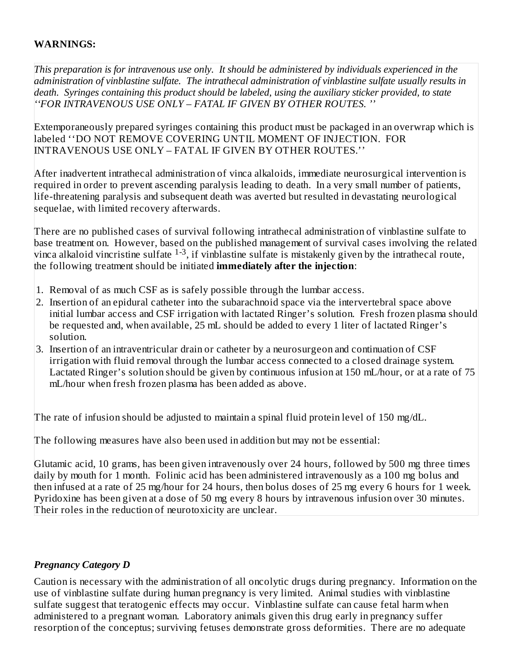#### **WARNINGS:**

*This preparation is for intravenous use only. It should be administered by individuals experienced in the administration of vinblastine sulfate. The intrathecal administration of vinblastine sulfate usually results in death. Syringes containing this product should be labeled, using the auxiliary sticker provided, to state ''FOR INTRAVENOUS USE ONLY – FATAL IF GIVEN BY OTHER ROUTES. ''*

Extemporaneously prepared syringes containing this product must be packaged in an overwrap which is labeled ''DO NOT REMOVE COVERING UNTIL MOMENT OF INJECTION. FOR INTRAVENOUS USE ONLY – FATAL IF GIVEN BY OTHER ROUTES.''

After inadvertent intrathecal administration of vinca alkaloids, immediate neurosurgical intervention is required in order to prevent ascending paralysis leading to death. In a very small number of patients, life-threatening paralysis and subsequent death was averted but resulted in devastating neurological sequelae, with limited recovery afterwards.

There are no published cases of survival following intrathecal administration of vinblastine sulfate to base treatment on. However, based on the published management of survival cases involving the related vinca alkaloid vincristine sulfate  $1-3$ , if vinblastine sulfate is mistakenly given by the intrathecal route, the following treatment should be initiated **immediately after the injection**:

- 1. Removal of as much CSF as is safely possible through the lumbar access.
- 2. Insertion of an epidural catheter into the subarachnoid space via the intervertebral space above initial lumbar access and CSF irrigation with lactated Ringer's solution. Fresh frozen plasma should be requested and, when available, 25 mL should be added to every 1 liter of lactated Ringer's solution.
- 3. Insertion of an intraventricular drain or catheter by a neurosurgeon and continuation of CSF irrigation with fluid removal through the lumbar access connected to a closed drainage system. Lactated Ringer's solution should be given by continuous infusion at 150 mL/hour, or at a rate of 75 mL/hour when fresh frozen plasma has been added as above.

The rate of infusion should be adjusted to maintain a spinal fluid protein level of 150 mg/dL.

The following measures have also been used in addition but may not be essential:

Glutamic acid, 10 grams, has been given intravenously over 24 hours, followed by 500 mg three times daily by mouth for 1 month. Folinic acid has been administered intravenously as a 100 mg bolus and then infused at a rate of 25 mg/hour for 24 hours, then bolus doses of 25 mg every 6 hours for 1 week. Pyridoxine has been given at a dose of 50 mg every 8 hours by intravenous infusion over 30 minutes. Their roles in the reduction of neurotoxicity are unclear.

#### *Pregnancy Category D*

Caution is necessary with the administration of all oncolytic drugs during pregnancy. Information on the use of vinblastine sulfate during human pregnancy is very limited. Animal studies with vinblastine sulfate suggest that teratogenic effects may occur. Vinblastine sulfate can cause fetal harm when administered to a pregnant woman. Laboratory animals given this drug early in pregnancy suffer resorption of the conceptus; surviving fetuses demonstrate gross deformities. There are no adequate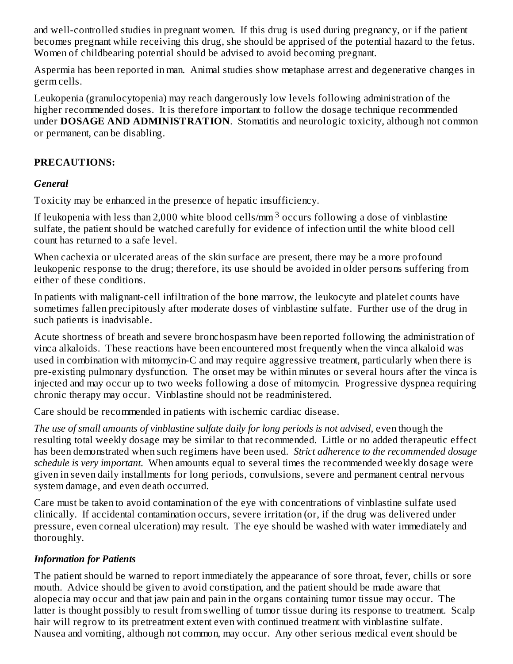and well-controlled studies in pregnant women. If this drug is used during pregnancy, or if the patient becomes pregnant while receiving this drug, she should be apprised of the potential hazard to the fetus. Women of childbearing potential should be advised to avoid becoming pregnant.

Aspermia has been reported in man. Animal studies show metaphase arrest and degenerative changes in germ cells.

Leukopenia (granulocytopenia) may reach dangerously low levels following administration of the higher recommended doses. It is therefore important to follow the dosage technique recommended under **DOSAGE AND ADMINISTRATION**. Stomatitis and neurologic toxicity, although not common or permanent, can be disabling.

#### **PRECAUTIONS:**

#### *General*

Toxicity may be enhanced in the presence of hepatic insufficiency.

If leukopenia with less than 2,000 white blood cells/mm  $^3$  occurs following a dose of vinblastine sulfate, the patient should be watched carefully for evidence of infection until the white blood cell count has returned to a safe level.

When cachexia or ulcerated areas of the skin surface are present, there may be a more profound leukopenic response to the drug; therefore, its use should be avoided in older persons suffering from either of these conditions.

In patients with malignant-cell infiltration of the bone marrow, the leukocyte and platelet counts have sometimes fallen precipitously after moderate doses of vinblastine sulfate. Further use of the drug in such patients is inadvisable.

Acute shortness of breath and severe bronchospasm have been reported following the administration of vinca alkaloids. These reactions have been encountered most frequently when the vinca alkaloid was used in combination with mitomycin-C and may require aggressive treatment, particularly when there is pre-existing pulmonary dysfunction. The onset may be within minutes or several hours after the vinca is injected and may occur up to two weeks following a dose of mitomycin. Progressive dyspnea requiring chronic therapy may occur. Vinblastine should not be readministered.

Care should be recommended in patients with ischemic cardiac disease.

*The use of small amounts of vinblastine sulfate daily for long periods is not advised*, even though the resulting total weekly dosage may be similar to that recommended. Little or no added therapeutic effect has been demonstrated when such regimens have been used. *Strict adherence to the recommended dosage schedule is very important*. When amounts equal to several times the recommended weekly dosage were given in seven daily installments for long periods, convulsions, severe and permanent central nervous system damage, and even death occurred.

Care must be taken to avoid contamination of the eye with concentrations of vinblastine sulfate used clinically. If accidental contamination occurs, severe irritation (or, if the drug was delivered under pressure, even corneal ulceration) may result. The eye should be washed with water immediately and thoroughly.

#### *Information for Patients*

The patient should be warned to report immediately the appearance of sore throat, fever, chills or sore mouth. Advice should be given to avoid constipation, and the patient should be made aware that alopecia may occur and that jaw pain and pain in the organs containing tumor tissue may occur. The latter is thought possibly to result from swelling of tumor tissue during its response to treatment. Scalp hair will regrow to its pretreatment extent even with continued treatment with vinblastine sulfate. Nausea and vomiting, although not common, may occur. Any other serious medical event should be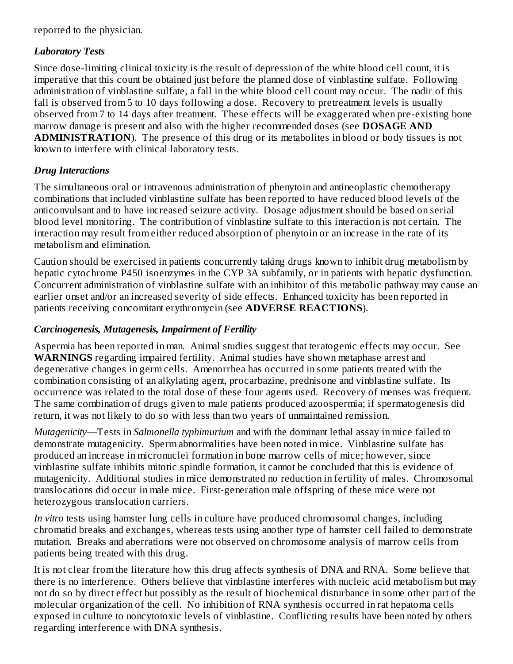reported to the physician.

#### *Laboratory Tests*

Since dose-limiting clinical toxicity is the result of depression of the white blood cell count, it is imperative that this count be obtained just before the planned dose of vinblastine sulfate. Following administration of vinblastine sulfate, a fall in the white blood cell count may occur. The nadir of this fall is observed from 5 to 10 days following a dose. Recovery to pretreatment levels is usually observed from 7 to 14 days after treatment. These effects will be exaggerated when pre-existing bone marrow damage is present and also with the higher recommended doses (see **DOSAGE AND ADMINISTRATION**). The presence of this drug or its metabolites in blood or body tissues is not known to interfere with clinical laboratory tests.

# *Drug Interactions*

The simultaneous oral or intravenous administration of phenytoin and antineoplastic chemotherapy combinations that included vinblastine sulfate has been reported to have reduced blood levels of the anticonvulsant and to have increased seizure activity. Dosage adjustment should be based on serial blood level monitoring. The contribution of vinblastine sulfate to this interaction is not certain. The interaction may result from either reduced absorption of phenytoin or an increase in the rate of its metabolism and elimination.

Caution should be exercised in patients concurrently taking drugs known to inhibit drug metabolism by hepatic cytochrome P450 isoenzymes in the CYP 3A subfamily, or in patients with hepatic dysfunction. Concurrent administration of vinblastine sulfate with an inhibitor of this metabolic pathway may cause an earlier onset and/or an increased severity of side effects. Enhanced toxicity has been reported in patients receiving concomitant erythromycin (see **ADVERSE REACTIONS**).

## *Carcinogenesis, Mutagenesis, Impairment of Fertility*

Aspermia has been reported in man. Animal studies suggest that teratogenic effects may occur. See **WARNINGS** regarding impaired fertility. Animal studies have shown metaphase arrest and degenerative changes in germ cells. Amenorrhea has occurred in some patients treated with the combination consisting of an alkylating agent, procarbazine, prednisone and vinblastine sulfate. Its occurrence was related to the total dose of these four agents used. Recovery of menses was frequent. The same combination of drugs given to male patients produced azoospermia; if spermatogenesis did return, it was not likely to do so with less than two years of unmaintained remission.

*Mutagenicity*—Tests in *Salmonella typhimurium* and with the dominant lethal assay in mice failed to demonstrate mutagenicity. Sperm abnormalities have been noted in mice. Vinblastine sulfate has produced an increase in micronuclei formation in bone marrow cells of mice; however, since vinblastine sulfate inhibits mitotic spindle formation, it cannot be concluded that this is evidence of mutagenicity. Additional studies in mice demonstrated no reduction in fertility of males. Chromosomal translocations did occur in male mice. First-generation male offspring of these mice were not heterozygous translocation carriers.

*In vitro* tests using hamster lung cells in culture have produced chromosomal changes, including chromatid breaks and exchanges, whereas tests using another type of hamster cell failed to demonstrate mutation. Breaks and aberrations were not observed on chromosome analysis of marrow cells from patients being treated with this drug.

It is not clear from the literature how this drug affects synthesis of DNA and RNA. Some believe that there is no interference. Others believe that vinblastine interferes with nucleic acid metabolism but may not do so by direct effect but possibly as the result of biochemical disturbance in some other part of the molecular organization of the cell. No inhibition of RNA synthesis occurred in rat hepatoma cells exposed in culture to noncytotoxic levels of vinblastine. Conflicting results have been noted by others regarding interference with DNA synthesis.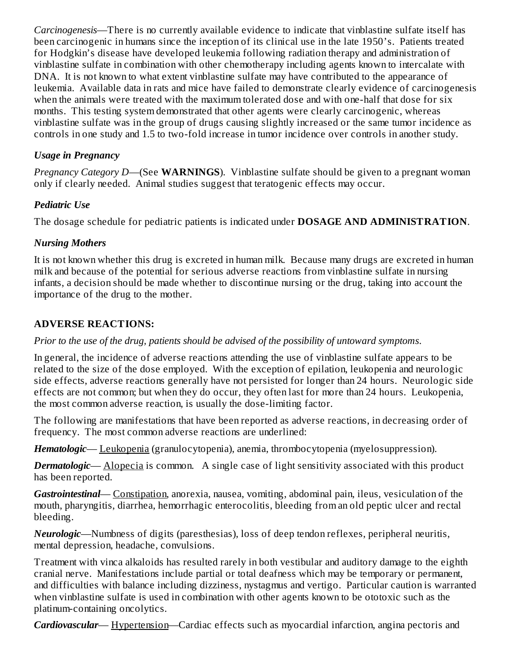*Carcinogenesis*—There is no currently available evidence to indicate that vinblastine sulfate itself has been carcinogenic in humans since the inception of its clinical use in the late 1950's. Patients treated for Hodgkin's disease have developed leukemia following radiation therapy and administration of vinblastine sulfate in combination with other chemotherapy including agents known to intercalate with DNA. It is not known to what extent vinblastine sulfate may have contributed to the appearance of leukemia. Available data in rats and mice have failed to demonstrate clearly evidence of carcinogenesis when the animals were treated with the maximum tolerated dose and with one-half that dose for six months. This testing system demonstrated that other agents were clearly carcinogenic, whereas vinblastine sulfate was in the group of drugs causing slightly increased or the same tumor incidence as controls in one study and 1.5 to two-fold increase in tumor incidence over controls in another study.

# *Usage in Pregnancy*

*Pregnancy Category D*—(See **WARNINGS**). Vinblastine sulfate should be given to a pregnant woman only if clearly needed. Animal studies suggest that teratogenic effects may occur.

# *Pediatric Use*

The dosage schedule for pediatric patients is indicated under **DOSAGE AND ADMINISTRATION**.

# *Nursing Mothers*

It is not known whether this drug is excreted in human milk. Because many drugs are excreted in human milk and because of the potential for serious adverse reactions from vinblastine sulfate in nursing infants, a decision should be made whether to discontinue nursing or the drug, taking into account the importance of the drug to the mother.

# **ADVERSE REACTIONS:**

# *Prior to the use of the drug, patients should be advised of the possibility of untoward symptoms*.

In general, the incidence of adverse reactions attending the use of vinblastine sulfate appears to be related to the size of the dose employed. With the exception of epilation, leukopenia and neurologic side effects, adverse reactions generally have not persisted for longer than 24 hours. Neurologic side effects are not common; but when they do occur, they often last for more than 24 hours. Leukopenia, the most common adverse reaction, is usually the dose-limiting factor.

The following are manifestations that have been reported as adverse reactions, in decreasing order of frequency. The most common adverse reactions are underlined:

*Hematologic*— Leukopenia (granulocytopenia), anemia, thrombocytopenia (myelosuppression).

**Dermatologic**— Alopecia is common. A single case of light sensitivity associated with this product has been reported.

*Gastrointestinal*— Constipation, anorexia, nausea, vomiting, abdominal pain, ileus, vesiculation of the mouth, pharyngitis, diarrhea, hemorrhagic enterocolitis, bleeding from an old peptic ulcer and rectal bleeding.

*Neurologic*—Numbness of digits (paresthesias), loss of deep tendon reflexes, peripheral neuritis, mental depression, headache, convulsions.

Treatment with vinca alkaloids has resulted rarely in both vestibular and auditory damage to the eighth cranial nerve. Manifestations include partial or total deafness which may be temporary or permanent, and difficulties with balance including dizziness, nystagmus and vertigo. Particular caution is warranted when vinblastine sulfate is used in combination with other agents known to be ototoxic such as the platinum-containing oncolytics.

*Cardiovascular*— Hypertension—Cardiac effects such as myocardial infarction, angina pectoris and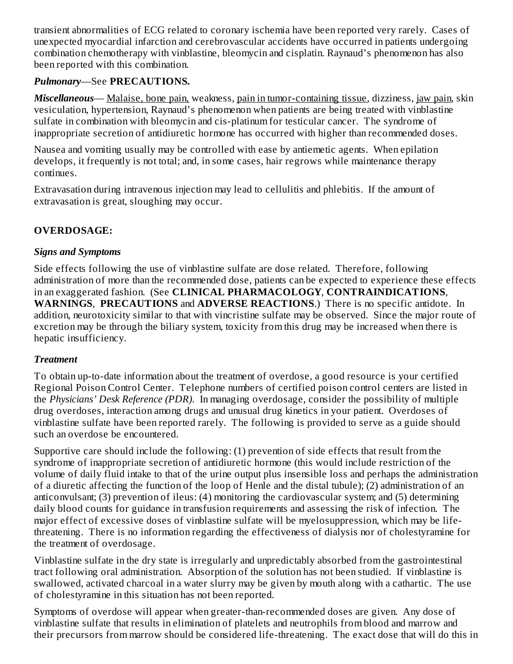transient abnormalities of ECG related to coronary ischemia have been reported very rarely. Cases of unexpected myocardial infarction and cerebrovascular accidents have occurred in patients undergoing combination chemotherapy with vinblastine, bleomycin and cisplatin. Raynaud's phenomenon has also been reported with this combination.

## *Pulmonary*—See **PRECAUTIONS***.*

*Miscellaneous*— Malaise, bone pain, weakness, pain in tumor-containing tissue, dizziness, jaw pain, skin vesiculation, hypertension, Raynaud's phenomenon when patients are being treated with vinblastine sulfate in combination with bleomycin and cis-platinum for testicular cancer. The syndrome of inappropriate secretion of antidiuretic hormone has occurred with higher than recommended doses.

Nausea and vomiting usually may be controlled with ease by antiemetic agents. When epilation develops, it frequently is not total; and, in some cases, hair regrows while maintenance therapy continues.

Extravasation during intravenous injection may lead to cellulitis and phlebitis. If the amount of extravasation is great, sloughing may occur.

# **OVERDOSAGE:**

## *Signs and Symptoms*

Side effects following the use of vinblastine sulfate are dose related. Therefore, following administration of more than the recommended dose, patients can be expected to experience these effects in an exaggerated fashion. (See **CLINICAL PHARMACOLOGY**, **CONTRAINDICATIONS**, **WARNINGS**, **PRECAUTIONS** and **ADVERSE REACTIONS**.) There is no specific antidote. In addition, neurotoxicity similar to that with vincristine sulfate may be observed. Since the major route of excretion may be through the biliary system, toxicity from this drug may be increased when there is hepatic insufficiency.

# *Treatment*

To obtain up-to-date information about the treatment of overdose, a good resource is your certified Regional Poison Control Center. Telephone numbers of certified poison control centers are listed in the *Physicians' Desk Reference (PDR)*. In managing overdosage, consider the possibility of multiple drug overdoses, interaction among drugs and unusual drug kinetics in your patient. Overdoses of vinblastine sulfate have been reported rarely. The following is provided to serve as a guide should such an overdose be encountered.

Supportive care should include the following: (1) prevention of side effects that result from the syndrome of inappropriate secretion of antidiuretic hormone (this would include restriction of the volume of daily fluid intake to that of the urine output plus insensible loss and perhaps the administration of a diuretic affecting the function of the loop of Henle and the distal tubule); (2) administration of an anticonvulsant; (3) prevention of ileus: (4) monitoring the cardiovascular system; and (5) determining daily blood counts for guidance in transfusion requirements and assessing the risk of infection. The major effect of excessive doses of vinblastine sulfate will be myelosuppression, which may be lifethreatening. There is no information regarding the effectiveness of dialysis nor of cholestyramine for the treatment of overdosage.

Vinblastine sulfate in the dry state is irregularly and unpredictably absorbed from the gastrointestinal tract following oral administration. Absorption of the solution has not been studied. If vinblastine is swallowed, activated charcoal in a water slurry may be given by mouth along with a cathartic. The use of cholestyramine in this situation has not been reported.

Symptoms of overdose will appear when greater-than-recommended doses are given. Any dose of vinblastine sulfate that results in elimination of platelets and neutrophils from blood and marrow and their precursors from marrow should be considered life-threatening. The exact dose that will do this in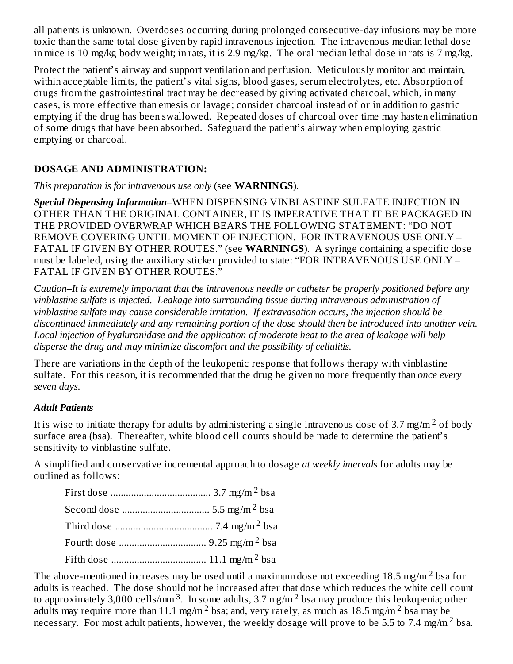all patients is unknown. Overdoses occurring during prolonged consecutive-day infusions may be more toxic than the same total dose given by rapid intravenous injection. The intravenous median lethal dose in mice is 10 mg/kg body weight; in rats, it is 2.9 mg/kg. The oral median lethal dose in rats is 7 mg/kg.

Protect the patient's airway and support ventilation and perfusion. Meticulously monitor and maintain, within acceptable limits, the patient's vital signs, blood gases, serum electrolytes, etc. Absorption of drugs from the gastrointestinal tract may be decreased by giving activated charcoal, which, in many cases, is more effective than emesis or lavage; consider charcoal instead of or in addition to gastric emptying if the drug has been swallowed. Repeated doses of charcoal over time may hasten elimination of some drugs that have been absorbed. Safeguard the patient's airway when employing gastric emptying or charcoal.

#### **DOSAGE AND ADMINISTRATION:**

*This preparation is for intravenous use only* (see **WARNINGS**).

*Special Dispensing Information*–WHEN DISPENSING VINBLASTINE SULFATE INJECTION IN OTHER THAN THE ORIGINAL CONTAINER, IT IS IMPERATIVE THAT IT BE PACKAGED IN THE PROVIDED OVERWRAP WHICH BEARS THE FOLLOWING STATEMENT: "DO NOT REMOVE COVERING UNTIL MOMENT OF INJECTION. FOR INTRAVENOUS USE ONLY – FATAL IF GIVEN BY OTHER ROUTES." (see **WARNINGS**). A syringe containing a specific dose must be labeled, using the auxiliary sticker provided to state: "FOR INTRAVENOUS USE ONLY – FATAL IF GIVEN BY OTHER ROUTES."

*Caution–It is extremely important that the intravenous needle or catheter be properly positioned before any vinblastine sulfate is injected. Leakage into surrounding tissue during intravenous administration of vinblastine sulfate may cause considerable irritation. If extravasation occurs, the injection should be discontinued immediately and any remaining portion of the dose should then be introduced into another vein. Local injection of hyaluronidase and the application of moderate heat to the area of leakage will help disperse the drug and may minimize discomfort and the possibility of cellulitis.*

There are variations in the depth of the leukopenic response that follows therapy with vinblastine sulfate. For this reason, it is recommended that the drug be given no more frequently than *once every seven days*.

#### *Adult Patients*

It is wise to initiate therapy for adults by administering a single intravenous dose of 3.7 mg/m  $^2$  of body surface area (bsa). Thereafter, white blood cell counts should be made to determine the patient's sensitivity to vinblastine sulfate.

A simplified and conservative incremental approach to dosage *at weekly intervals* for adults may be outlined as follows:

The above-mentioned increases may be used until a maximum dose not exceeding 18.5 mg/m  $^2$  bsa for adults is reached. The dose should not be increased after that dose which reduces the white cell count to approximately 3,000 cells/mm  $^3$ . In some adults, 3.7 mg/m  $^2$  bsa may produce this leukopenia; other adults may require more than 11.1 mg/m<sup>2</sup> bsa; and, very rarely, as much as 18.5 mg/m<sup>2</sup> bsa may be necessary. For most adult patients, however, the weekly dosage will prove to be 5.5 to 7.4 mg/m<sup>2</sup> bsa.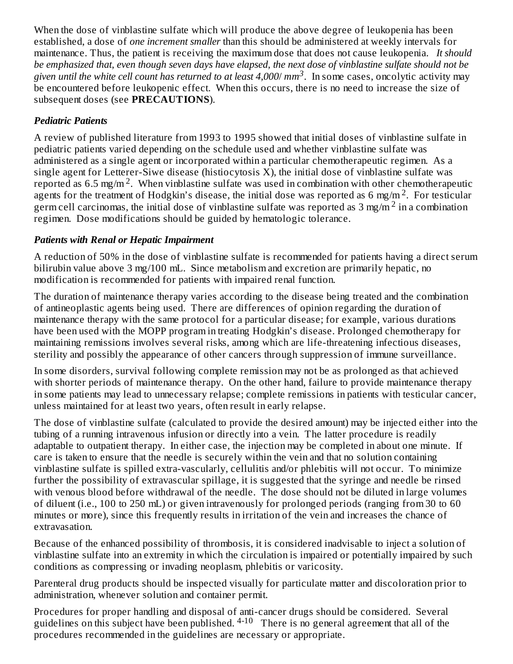When the dose of vinblastine sulfate which will produce the above degree of leukopenia has been established, a dose of *one increment smaller* than this should be administered at weekly intervals for maintenance. Thus, the patient is receiving the maximum dose that does not cause leukopenia. *It should* be emphasized that, even though seven days have elapsed, the next dose of vinblastine sulfate should not be *given until the white cell count has returned to at least 4,000*/ *mm* . In some cases, oncolytic activity may *3* be encountered before leukopenic effect. When this occurs, there is no need to increase the size of subsequent doses (see **PRECAUTIONS**).

# *Pediatric Patients*

A review of published literature from 1993 to 1995 showed that initial doses of vinblastine sulfate in pediatric patients varied depending on the schedule used and whether vinblastine sulfate was administered as a single agent or incorporated within a particular chemotherapeutic regimen. As a single agent for Letterer-Siwe disease (histiocytosis X), the initial dose of vinblastine sulfate was reported as 6.5 mg/m<sup>2</sup>. When vinblastine sulfate was used in combination with other chemotherapeutic agents for the treatment of Hodgkin's disease, the initial dose was reported as 6 mg/m<sup>2</sup>. For testicular germ cell carcinomas, the initial dose of vinblastine sulfate was reported as  $3 \text{ mg/m}^2$  in a combination regimen. Dose modifications should be guided by hematologic tolerance.

# *Patients with Renal or Hepatic Impairment*

A reduction of 50% in the dose of vinblastine sulfate is recommended for patients having a direct serum bilirubin value above 3 mg/100 mL. Since metabolism and excretion are primarily hepatic, no modification is recommended for patients with impaired renal function.

The duration of maintenance therapy varies according to the disease being treated and the combination of antineoplastic agents being used. There are differences of opinion regarding the duration of maintenance therapy with the same protocol for a particular disease; for example, various durations have been used with the MOPP program in treating Hodgkin's disease. Prolonged chemotherapy for maintaining remissions involves several risks, among which are life-threatening infectious diseases, sterility and possibly the appearance of other cancers through suppression of immune surveillance.

In some disorders, survival following complete remission may not be as prolonged as that achieved with shorter periods of maintenance therapy. On the other hand, failure to provide maintenance therapy in some patients may lead to unnecessary relapse; complete remissions in patients with testicular cancer, unless maintained for at least two years, often result in early relapse.

The dose of vinblastine sulfate (calculated to provide the desired amount) may be injected either into the tubing of a running intravenous infusion or directly into a vein. The latter procedure is readily adaptable to outpatient therapy. In either case, the injection may be completed in about one minute. If care is taken to ensure that the needle is securely within the vein and that no solution containing vinblastine sulfate is spilled extra-vascularly, cellulitis and/or phlebitis will not occur. To minimize further the possibility of extravascular spillage, it is suggested that the syringe and needle be rinsed with venous blood before withdrawal of the needle. The dose should not be diluted in large volumes of diluent (i.e., 100 to 250 mL) or given intravenously for prolonged periods (ranging from 30 to 60 minutes or more), since this frequently results in irritation of the vein and increases the chance of extravasation.

Because of the enhanced possibility of thrombosis, it is considered inadvisable to inject a solution of vinblastine sulfate into an extremity in which the circulation is impaired or potentially impaired by such conditions as compressing or invading neoplasm, phlebitis or varicosity.

Parenteral drug products should be inspected visually for particulate matter and discoloration prior to administration, whenever solution and container permit.

Procedures for proper handling and disposal of anti-cancer drugs should be considered. Several guidelines on this subject have been published.  $4-10$  There is no general agreement that all of the procedures recommended in the guidelines are necessary or appropriate.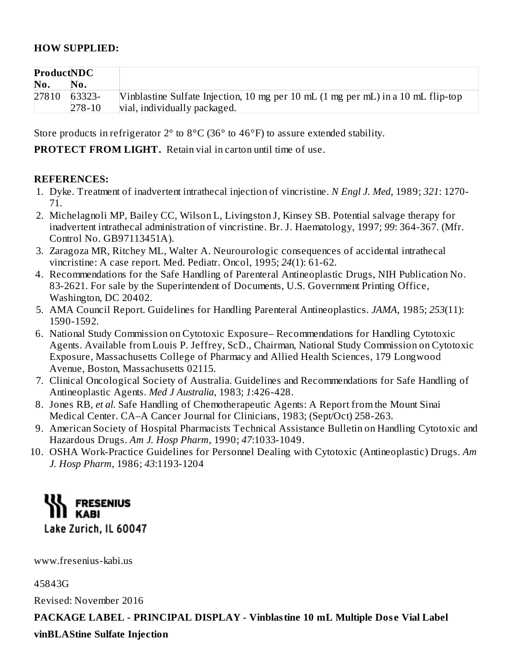#### **HOW SUPPLIED:**

| <b>ProductNDC</b> |                      |                                                                                                                   |
|-------------------|----------------------|-------------------------------------------------------------------------------------------------------------------|
| No.               | No.                  |                                                                                                                   |
| 27810             | 63323-<br>$278 - 10$ | [Vinblastine Sulfate Injection, 10 mg per 10 mL (1 mg per mL) in a 10 mL flip-top<br>vial, individually packaged. |

Store products in refrigerator  $2^{\circ}$  to  $8^{\circ}$ C (36 $^{\circ}$  to 46 $^{\circ}$ F) to assure extended stability.

**PROTECT FROM LIGHT.** Retain vial in carton until time of use.

#### **REFERENCES:**

- 1. Dyke. Treatment of inadvertent intrathecal injection of vincristine. *N Engl J. Med*, 1989; *321*: 1270- 71.
- 2. Michelagnoli MP, Bailey CC, Wilson L, Livingston J, Kinsey SB. Potential salvage therapy for inadvertent intrathecal administration of vincristine. Br. J. Haematology, 1997; *99*: 364-367. (Mfr. Control No. GB97113451A).
- 3. Zaragoza MR, Ritchey ML, Walter A. Neurourologic consequences of accidental intrathecal vincristine: A case report. Med. Pediatr. Oncol, 1995; *24*(1): 61-62.
- 4. Recommendations for the Safe Handling of Parenteral Antineoplastic Drugs, NIH Publication No. 83-2621. For sale by the Superintendent of Documents, U.S. Government Printing Office, Washington, DC 20402.
- 5. AMA Council Report. Guidelines for Handling Parenteral Antineoplastics. *JAMA*, 1985; *253*(11): 1590-1592.
- 6. National Study Commission on Cytotoxic Exposure– Recommendations for Handling Cytotoxic Agents. Available from Louis P. Jeffrey, ScD., Chairman, National Study Commission on Cytotoxic Exposure, Massachusetts College of Pharmacy and Allied Health Sciences, 179 Longwood Avenue, Boston, Massachusetts 02115.
- 7. Clinical Oncological Society of Australia. Guidelines and Recommendations for Safe Handling of Antineoplastic Agents. *Med J Australia*, 1983; *1*:426-428.
- 8. Jones RB, *et al*. Safe Handling of Chemotherapeutic Agents: A Report from the Mount Sinai Medical Center. CA–A Cancer Journal for Clinicians, 1983; (Sept/Oct) 258-263.
- 9. American Society of Hospital Pharmacists Technical Assistance Bulletin on Handling Cytotoxic and Hazardous Drugs. *Am J. Hosp Pharm*, 1990; *47*:1033-1049.
- 10. OSHA Work-Practice Guidelines for Personnel Dealing with Cytotoxic (Antineoplastic) Drugs. *Am J. Hosp Pharm*, 1986; *43*:1193-1204



www.fresenius-kabi.us

45843G

Revised: November 2016

**PACKAGE LABEL - PRINCIPAL DISPLAY - Vinblastine 10 mL Multiple Dos e Vial Label**

#### **vinBLAStine Sulfate Injection**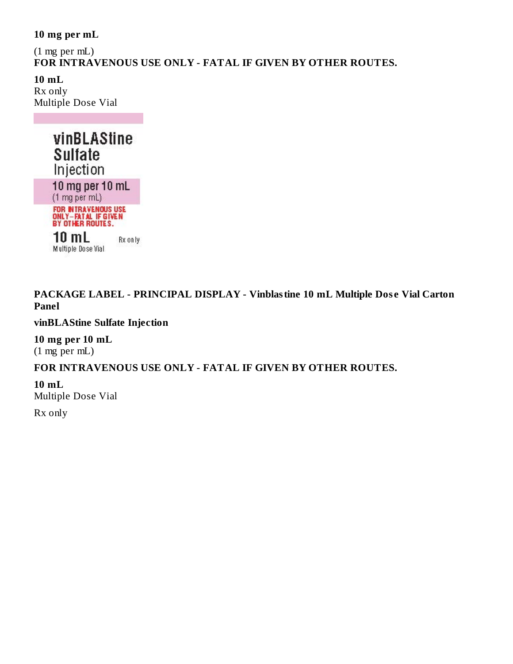**10 mg per mL**

(1 mg per mL) **FOR INTRAVENOUS USE ONLY - FATAL IF GIVEN BY OTHER ROUTES.**

**10 mL** Rx only Multiple Dose Vial



10 mL Rx only Multiple Dose Vial.

**PACKAGE LABEL - PRINCIPAL DISPLAY - Vinblastine 10 mL Multiple Dos e Vial Carton Panel**

**vinBLAStine Sulfate Injection**

**10 mg per 10 mL** (1 mg per mL)

**FOR INTRAVENOUS USE ONLY - FATAL IF GIVEN BY OTHER ROUTES.**

**10 mL** Multiple Dose Vial

Rx only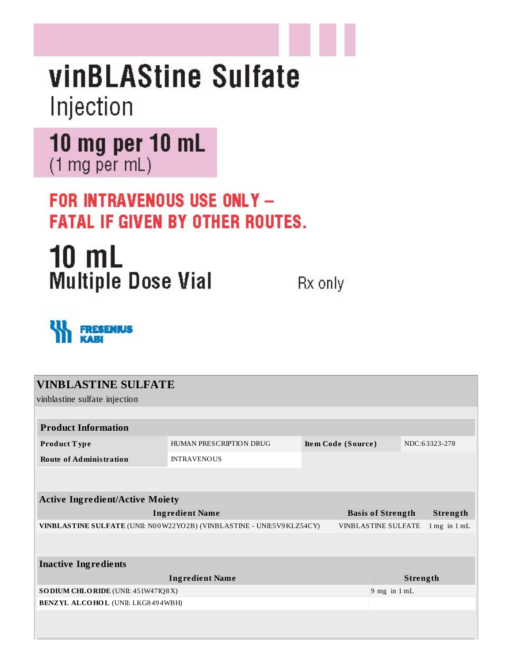# vinBLAStine Sulfate

Injection

# 10 mg per 10 mL  $(1 \text{ mg per mL})$

**FOR INTRAVENOUS USE ONLY -FATAL IF GIVEN BY OTHER ROUTES.** 

# $10$  mL **Multiple Dose Vial**

Rx only



| <b>VINBLASTINE SULFATE</b>                                             |                         |  |                                                |                          |               |          |
|------------------------------------------------------------------------|-------------------------|--|------------------------------------------------|--------------------------|---------------|----------|
| vinblastine sulfate injection                                          |                         |  |                                                |                          |               |          |
|                                                                        |                         |  |                                                |                          |               |          |
| <b>Product Information</b>                                             |                         |  |                                                |                          |               |          |
| Product Type                                                           | HUMAN PRESCRIPTION DRUG |  | Item Code (Source)                             |                          | NDC:63323-278 |          |
| <b>Route of Administration</b>                                         | <b>INTRAVENOUS</b>      |  |                                                |                          |               |          |
|                                                                        |                         |  |                                                |                          |               |          |
|                                                                        |                         |  |                                                |                          |               |          |
| <b>Active Ingredient/Active Moiety</b>                                 |                         |  |                                                |                          |               |          |
| <b>Ingredient Name</b>                                                 |                         |  |                                                | <b>Basis of Strength</b> |               | Strength |
| VINBLASTINE SULFATE (UNII: N00W22YO2B) (VINBLASTINE - UNII:5V9KLZ54CY) |                         |  | <b>VINBLASTINE SULFATE</b><br>$1$ mg in $1$ mL |                          |               |          |
|                                                                        |                         |  |                                                |                          |               |          |
|                                                                        |                         |  |                                                |                          |               |          |
| <b>Inactive Ingredients</b>                                            |                         |  |                                                |                          |               |          |
| <b>Ingredient Name</b>                                                 |                         |  |                                                | Strength                 |               |          |
| SODIUM CHLORIDE (UNII: 451W47IQ8X)                                     |                         |  | $9$ mg in $1$ mL                               |                          |               |          |
| <b>BENZYL ALCOHOL (UNII: LKG8494WBH)</b>                               |                         |  |                                                |                          |               |          |
|                                                                        |                         |  |                                                |                          |               |          |
|                                                                        |                         |  |                                                |                          |               |          |